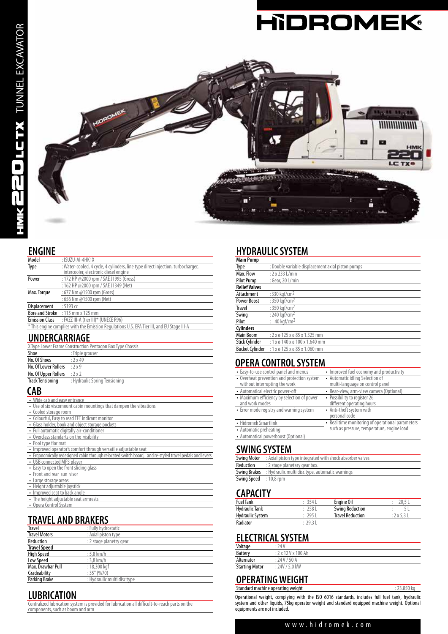



#### **ENGINE**

| Model                 | : ISUZU-AI-4HK1X                                                                                                         |  |  |
|-----------------------|--------------------------------------------------------------------------------------------------------------------------|--|--|
| Type                  | : Water-cooled, 4 cycle, 4 cylinders, line type direct injection, turbocharger,<br>intercooler, electrónic diesel engine |  |  |
| Power                 | : 172 HP @2000 rpm / SAE J1995 (Gross)                                                                                   |  |  |
|                       | : 162 HP @2000 rpm / SAE J1349 (Net)                                                                                     |  |  |
| Max. Torque           | : 677 Nm @1500 rpm (Gross)                                                                                               |  |  |
|                       | : 656 Nm @1500 rpm (Net)                                                                                                 |  |  |
| Displacement          | : 5193 c                                                                                                                 |  |  |
|                       | <b>Bore and Stroke</b> : 115 mm x 125 mm                                                                                 |  |  |
| <b>Emission Class</b> | : FAZZ III-A (tier III)* (UNECE R96)                                                                                     |  |  |
|                       | * This engine complies with the Emission Regulations U.S. EPA Tier III, and EU Stage III-A                               |  |  |
|                       | <i>.</i> .                                                                                                               |  |  |

#### **UNDERCARRIAGE**

| X Type Lower Frame Construction Pentagon Box Type Chassis |                               |  |
|-----------------------------------------------------------|-------------------------------|--|
| Shoe                                                      | : Triple grouser              |  |
| No. Of Shoes                                              | .2x49                         |  |
| No. Of Lower Rollers                                      | $:2\times9$                   |  |
| No. Of Upper Rollers                                      | :2x2                          |  |
| <b>Track Tensioning</b>                                   | : Hydraulic Spring Tensioning |  |
|                                                           |                               |  |

#### **CAB**

| • Wide cab and easy entrance                                                                            |
|---------------------------------------------------------------------------------------------------------|
| • Use of six viscomount cabin mountings that dampen the vibrations                                      |
| • Cooled storage room                                                                                   |
| • Colourful, Easy to read TFT indicant monitor                                                          |
| • Glass holder, book and object storage pockets                                                         |
| • Full automatic digitally air-conditioner                                                              |
| • Overclass standarts on the visibility                                                                 |
| • Pool type flor mat                                                                                    |
| • Improved operator's comfort through versatile adjustable seat                                         |
| . Ergonomically redesigned cabin through relocated switch board, and re-styled travel pedals and levers |
| • USB connected MP3 player                                                                              |
| • Easy to open the front sliding glass                                                                  |
| • Front and rear sun visor                                                                              |
| • Large storage areas                                                                                   |
| • Height adjustable joystick                                                                            |
| • Improved seat to back angle                                                                           |
| • The height adjustable seat armrests                                                                   |
| • Opera Control System                                                                                  |

# **TRAVEL AND BRAKERS**

| <b>Travel</b>        | : Fully hydrostatic         |
|----------------------|-----------------------------|
| <b>Travel Motors</b> | : Axial piston type         |
| Reduction            | : 2 stage planetry gear     |
| <b>Travel Speed</b>  |                             |
| <b>High Speed</b>    | $:5.8$ km/h                 |
| Low Speed            | $:3.8$ km/h                 |
| Max. Drawbar Pull    | : 18,300 kgf                |
| Gradeability         | $:35^{\circ}$ (%70)         |
| Parking Brake        | : Hydraulic multi disc type |

### **LUBRICATION**

Centralized lubrication system is provided for lubrication all difficult-to-reach parts on the components, such as boom and arm

# **HYDRAULIC SYSTEM**

| <b>Main Pump</b>       |                                                     |
|------------------------|-----------------------------------------------------|
| Type                   | : Double variable displacement axial piston pumps   |
| Max. Flow              | $: 2 \times 233$ L/min                              |
| <b>Pilot Pump</b>      | : Gear, 20 L/min                                    |
| <b>Relief Valves</b>   |                                                     |
| Attachment             | : 330 kgf/cm <sup>2</sup>                           |
| <b>Power Boost</b>     | : 350 kaf/cm <sup>2</sup>                           |
| <b>Travel</b>          | : 350 kaf/cm <sup>2</sup>                           |
| Swing                  | : 240 kaf/cm <sup>2</sup>                           |
| Pilot                  | : $40 \text{ kaf/cm}^2$                             |
| <b>Cylinders</b>       |                                                     |
| <b>Main Boom</b>       | $: 2 \times 0$ 125 $\times 0$ 85 $\times$ 1.325 mm  |
| <b>Stick Cylinder</b>  | : $1 \times 6$ 140 $\times 6$ 100 $\times$ 1.640 mm |
| <b>Bucket Cylinder</b> | $: 1 x \times 125 x \times 85 x 1.060$ mm           |

# **OPERA CONTROL SYSTEM**

| • Easy-to-use control panel and menus       | • Improved fuel economy and productivity         |
|---------------------------------------------|--------------------------------------------------|
| • Overheat prevention and protection system | • Automatic idling Selection of                  |
| without interrupting the work               | multi-language on control panel                  |
| • Automatical electric power-off            | • Rear-view, arm-view camera (Optional)          |
| • Maximum efficiency by selection of power  | • Possibility to register 26                     |
| and work modes                              | different operating hours                        |
| • Error mode registry and warning system    | • Anti-theft system with                         |
|                                             | personal code                                    |
| • Hidromek Smartlink                        | • Real time monitoring of operational parameters |
| • Automatic preheating                      | such as pressure, temperature, engine load       |
| • Automatical powerboost (Optional)         |                                                  |

#### **SWING SYSTEM**

| <b>Swing Motor</b>            | : Axial piston type integrated with shock absorber valves           |
|-------------------------------|---------------------------------------------------------------------|
| Reduction                     | : 2 stage planetary gear box.                                       |
|                               | <b>Swing Brakes</b> : Hydraulic multi disc type, automatic warnings |
| <b>Swing Speed</b> : 10,8 rpm |                                                                     |

#### **CAPACITY**

| ---------             |       |                         |                  |
|-----------------------|-------|-------------------------|------------------|
| <b>Fuel Tank</b>      | 3541  | Engine Oil              |                  |
| <b>Hydraulic Tank</b> | 2581  | Swing Reduction         |                  |
| Hydraulic System      | 2951  | <b>Travel Reduction</b> | $: 2 \times 5.3$ |
| Radiator              | 29.31 |                         |                  |

# **ELECTRICAL SYSTEM**

| Voltage               | : 24 V                     |
|-----------------------|----------------------------|
| <b>Battery</b>        | $: 2 \times 12$ V x 100 Ah |
| Alternator            | : 24V / 50A                |
| <b>Starting Motor</b> | : 24V / 5.0 kW             |
|                       |                            |

#### **OPERATING WEIGHT** Standard machine operating weight : 23.850 kg

Operational weight, complying with the ISO 6016 standards, includes full fuel tank, hydraulic system and other liquids, 75kg operator weight and standard equipped machine weight. Optional equipments are not included.

#### www.hidromek.com